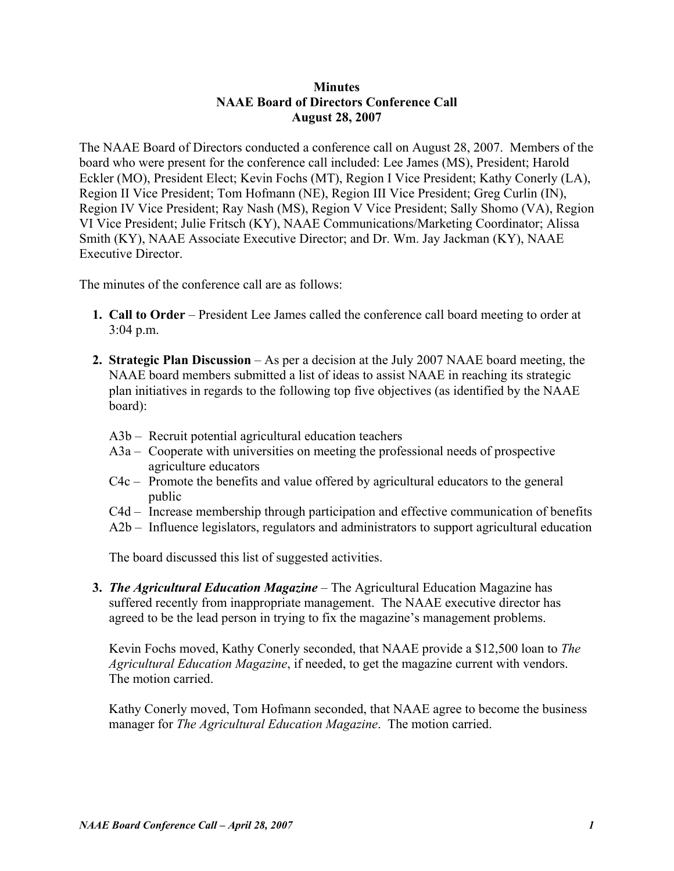## **Minutes NAAE Board of Directors Conference Call August 28, 2007**

The NAAE Board of Directors conducted a conference call on August 28, 2007. Members of the board who were present for the conference call included: Lee James (MS), President; Harold Eckler (MO), President Elect; Kevin Fochs (MT), Region I Vice President; Kathy Conerly (LA), Region II Vice President; Tom Hofmann (NE), Region III Vice President; Greg Curlin (IN), Region IV Vice President; Ray Nash (MS), Region V Vice President; Sally Shomo (VA), Region VI Vice President; Julie Fritsch (KY), NAAE Communications/Marketing Coordinator; Alissa Smith (KY), NAAE Associate Executive Director; and Dr. Wm. Jay Jackman (KY), NAAE Executive Director.

The minutes of the conference call are as follows:

- **1. Call to Order** President Lee James called the conference call board meeting to order at 3:04 p.m.
- **2. Strategic Plan Discussion**  As per a decision at the July 2007 NAAE board meeting, the NAAE board members submitted a list of ideas to assist NAAE in reaching its strategic plan initiatives in regards to the following top five objectives (as identified by the NAAE board):
	- A3b Recruit potential agricultural education teachers
	- A3a Cooperate with universities on meeting the professional needs of prospective agriculture educators
	- C4c Promote the benefits and value offered by agricultural educators to the general public
	- C4d Increase membership through participation and effective communication of benefits
	- A2b Influence legislators, regulators and administrators to support agricultural education

The board discussed this list of suggested activities.

 **3.** *The Agricultural Education Magazine* – The Agricultural Education Magazine has suffered recently from inappropriate management. The NAAE executive director has agreed to be the lead person in trying to fix the magazine's management problems.

Kevin Fochs moved, Kathy Conerly seconded, that NAAE provide a \$12,500 loan to *The Agricultural Education Magazine*, if needed, to get the magazine current with vendors. The motion carried.

Kathy Conerly moved, Tom Hofmann seconded, that NAAE agree to become the business manager for *The Agricultural Education Magazine*. The motion carried.